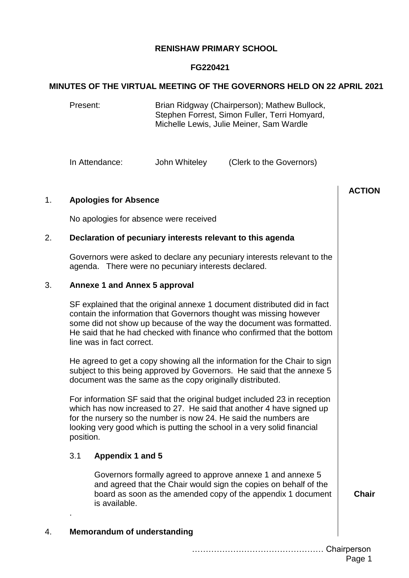# **RENISHAW PRIMARY SCHOOL**

## **FG220421**

#### **MINUTES OF THE VIRTUAL MEETING OF THE GOVERNORS HELD ON 22 APRIL 2021**

Present: Brian Ridgway (Chairperson); Mathew Bullock, Stephen Forrest, Simon Fuller, Terri Homyard, Michelle Lewis, Julie Meiner, Sam Wardle

In Attendance: John Whiteley (Clerk to the Governors)

|             |                                                                                                                                                                                                                                                                                                                              | <b>ACTION</b> |
|-------------|------------------------------------------------------------------------------------------------------------------------------------------------------------------------------------------------------------------------------------------------------------------------------------------------------------------------------|---------------|
| 1.          | <b>Apologies for Absence</b>                                                                                                                                                                                                                                                                                                 |               |
|             | No apologies for absence were received                                                                                                                                                                                                                                                                                       |               |
| 2.          | Declaration of pecuniary interests relevant to this agenda                                                                                                                                                                                                                                                                   |               |
|             | Governors were asked to declare any pecuniary interests relevant to the<br>agenda. There were no pecuniary interests declared.                                                                                                                                                                                               |               |
| 3.          | <b>Annexe 1 and Annex 5 approval</b>                                                                                                                                                                                                                                                                                         |               |
|             | SF explained that the original annexe 1 document distributed did in fact<br>contain the information that Governors thought was missing however<br>some did not show up because of the way the document was formatted.<br>He said that he had checked with finance who confirmed that the bottom<br>line was in fact correct. |               |
|             | He agreed to get a copy showing all the information for the Chair to sign<br>subject to this being approved by Governors. He said that the annexe 5<br>document was the same as the copy originally distributed.                                                                                                             |               |
|             | For information SF said that the original budget included 23 in reception<br>which has now increased to 27. He said that another 4 have signed up<br>for the nursery so the number is now 24. He said the numbers are<br>looking very good which is putting the school in a very solid financial<br>position.                |               |
|             | 3.1<br>Appendix 1 and 5                                                                                                                                                                                                                                                                                                      |               |
|             | Governors formally agreed to approve annexe 1 and annexe 5<br>and agreed that the Chair would sign the copies on behalf of the<br>board as soon as the amended copy of the appendix 1 document<br>is available.                                                                                                              | <b>Chair</b>  |
| 4.          | <b>Memorandum of understanding</b>                                                                                                                                                                                                                                                                                           |               |
| Chairperson |                                                                                                                                                                                                                                                                                                                              |               |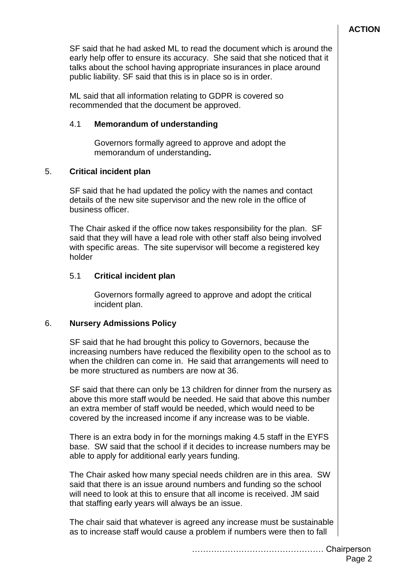SF said that he had asked ML to read the document which is around the early help offer to ensure its accuracy. She said that she noticed that it talks about the school having appropriate insurances in place around public liability. SF said that this is in place so is in order.

ML said that all information relating to GDPR is covered so recommended that the document be approved.

# 4.1 **Memorandum of understanding**

Governors formally agreed to approve and adopt the memorandum of understanding**.**

# 5. **Critical incident plan**

SF said that he had updated the policy with the names and contact details of the new site supervisor and the new role in the office of business officer.

The Chair asked if the office now takes responsibility for the plan. SF said that they will have a lead role with other staff also being involved with specific areas. The site supervisor will become a registered key holder

# 5.1 **Critical incident plan**

Governors formally agreed to approve and adopt the critical incident plan.

# 6. **Nursery Admissions Policy**

SF said that he had brought this policy to Governors, because the increasing numbers have reduced the flexibility open to the school as to when the children can come in. He said that arrangements will need to be more structured as numbers are now at 36.

SF said that there can only be 13 children for dinner from the nursery as above this more staff would be needed. He said that above this number an extra member of staff would be needed, which would need to be covered by the increased income if any increase was to be viable.

There is an extra body in for the mornings making 4.5 staff in the EYFS base. SW said that the school if it decides to increase numbers may be able to apply for additional early years funding.

The Chair asked how many special needs children are in this area. SW said that there is an issue around numbers and funding so the school will need to look at this to ensure that all income is received. JM said that staffing early years will always be an issue.

The chair said that whatever is agreed any increase must be sustainable as to increase staff would cause a problem if numbers were then to fall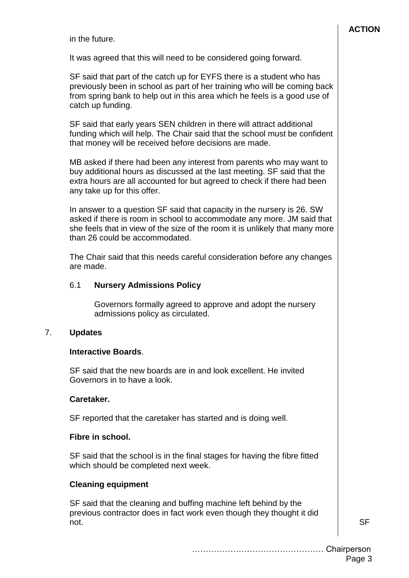in the future.

It was agreed that this will need to be considered going forward.

SF said that part of the catch up for EYFS there is a student who has previously been in school as part of her training who will be coming back from spring bank to help out in this area which he feels is a good use of catch up funding.

SF said that early years SEN children in there will attract additional funding which will help. The Chair said that the school must be confident that money will be received before decisions are made.

MB asked if there had been any interest from parents who may want to buy additional hours as discussed at the last meeting. SF said that the extra hours are all accounted for but agreed to check if there had been any take up for this offer.

In answer to a question SF said that capacity in the nursery is 26. SW asked if there is room in school to accommodate any more. JM said that she feels that in view of the size of the room it is unlikely that many more than 26 could be accommodated.

The Chair said that this needs careful consideration before any changes are made.

### 6.1 **Nursery Admissions Policy**

Governors formally agreed to approve and adopt the nursery admissions policy as circulated.

#### 7. **Updates**

#### **Interactive Boards**.

SF said that the new boards are in and look excellent. He invited Governors in to have a look.

#### **Caretaker.**

SF reported that the caretaker has started and is doing well.

#### **Fibre in school.**

SF said that the school is in the final stages for having the fibre fitted which should be completed next week.

#### **Cleaning equipment**

SF said that the cleaning and buffing machine left behind by the previous contractor does in fact work even though they thought it did not. SF